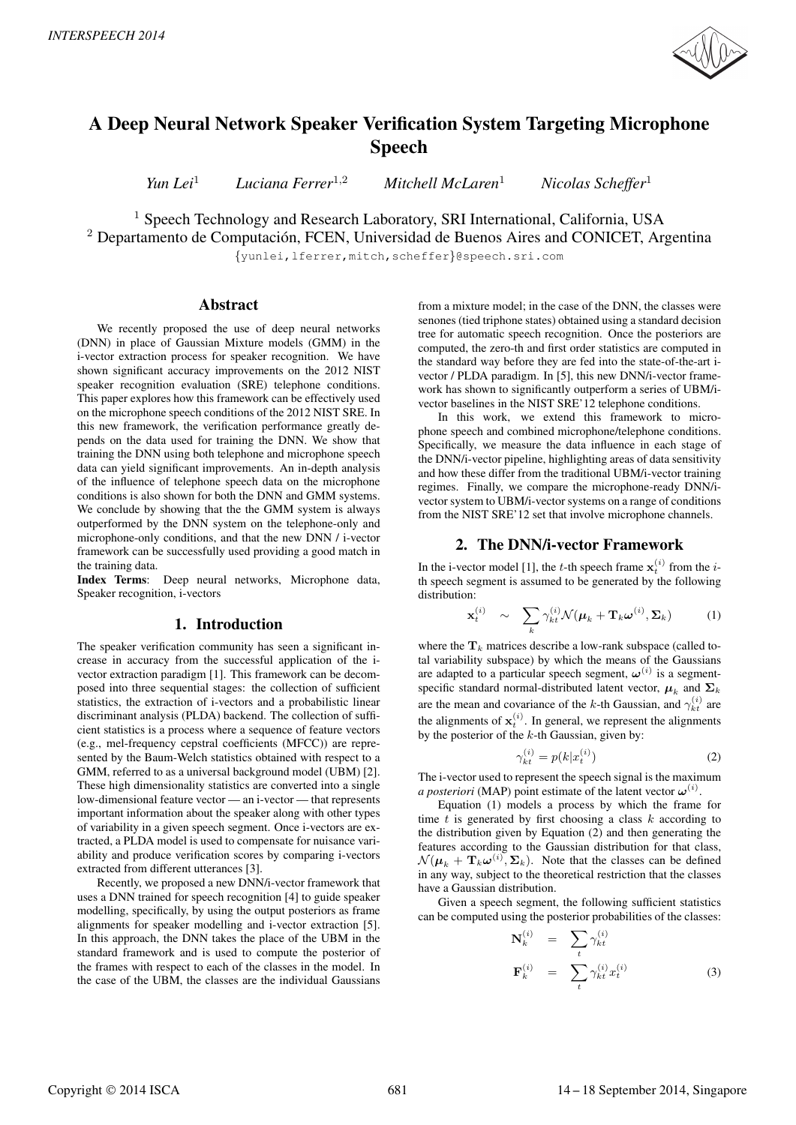

# A Deep Neural Network Speaker Verification System Targeting Microphone Speech

*Yun Lei*<sup>1</sup> *Luciana Ferrer*<sup>1</sup>,<sup>2</sup> *Mitchell McLaren*<sup>1</sup> *Nicolas Scheffer*<sup>1</sup>

<sup>1</sup> Speech Technology and Research Laboratory, SRI International, California, USA

 $2$  Departamento de Computación, FCEN, Universidad de Buenos Aires and CONICET, Argentina

{yunlei,lferrer,mitch,scheffer}@speech.sri.com

# Abstract

We recently proposed the use of deep neural networks (DNN) in place of Gaussian Mixture models (GMM) in the i-vector extraction process for speaker recognition. We have shown significant accuracy improvements on the 2012 NIST speaker recognition evaluation (SRE) telephone conditions. This paper explores how this framework can be effectively used on the microphone speech conditions of the 2012 NIST SRE. In this new framework, the verification performance greatly depends on the data used for training the DNN. We show that training the DNN using both telephone and microphone speech data can yield significant improvements. An in-depth analysis of the influence of telephone speech data on the microphone conditions is also shown for both the DNN and GMM systems. We conclude by showing that the the GMM system is always outperformed by the DNN system on the telephone-only and microphone-only conditions, and that the new DNN / i-vector framework can be successfully used providing a good match in the training data.

Index Terms: Deep neural networks, Microphone data, Speaker recognition, i-vectors

## 1. Introduction

The speaker verification community has seen a significant increase in accuracy from the successful application of the ivector extraction paradigm [1]. This framework can be decomposed into three sequential stages: the collection of sufficient statistics, the extraction of i-vectors and a probabilistic linear discriminant analysis (PLDA) backend. The collection of sufficient statistics is a process where a sequence of feature vectors (e.g., mel-frequency cepstral coefficients (MFCC)) are represented by the Baum-Welch statistics obtained with respect to a GMM, referred to as a universal background model (UBM) [2]. These high dimensionality statistics are converted into a single low-dimensional feature vector — an i-vector — that represents important information about the speaker along with other types of variability in a given speech segment. Once i-vectors are extracted, a PLDA model is used to compensate for nuisance variability and produce verification scores by comparing i-vectors extracted from different utterances [3].

Recently, we proposed a new DNN/i-vector framework that uses a DNN trained for speech recognition [4] to guide speaker modelling, specifically, by using the output posteriors as frame alignments for speaker modelling and i-vector extraction [5]. In this approach, the DNN takes the place of the UBM in the standard framework and is used to compute the posterior of the frames with respect to each of the classes in the model. In the case of the UBM, the classes are the individual Gaussians

from a mixture model; in the case of the DNN, the classes were senones (tied triphone states) obtained using a standard decision tree for automatic speech recognition. Once the posteriors are computed, the zero-th and first order statistics are computed in the standard way before they are fed into the state-of-the-art ivector / PLDA paradigm. In [5], this new DNN/i-vector framework has shown to significantly outperform a series of UBM/ivector baselines in the NIST SRE'12 telephone conditions.

In this work, we extend this framework to microphone speech and combined microphone/telephone conditions. Specifically, we measure the data influence in each stage of the DNN/i-vector pipeline, highlighting areas of data sensitivity and how these differ from the traditional UBM/i-vector training regimes. Finally, we compare the microphone-ready DNN/ivector system to UBM/i-vector systems on a range of conditions from the NIST SRE'12 set that involve microphone channels.

### 2. The DNN/i-vector Framework

In the i-vector model [1], the *t*-th speech frame  $\mathbf{x}_t^{(i)}$  from the *i*th speech segment is assumed to be generated by the following distribution:

$$
\mathbf{x}_{t}^{(i)} \sim \sum_{k} \gamma_{kt}^{(i)} \mathcal{N}(\boldsymbol{\mu}_{k} + \mathbf{T}_{k} \boldsymbol{\omega}^{(i)}, \boldsymbol{\Sigma}_{k}) \qquad (1)
$$

where the  $\mathbf{T}_k$  matrices describe a low-rank subspace (called total variability subspace) by which the means of the Gaussians are adapted to a particular speech segment,  $\boldsymbol{\omega}^{(i)}$  is a segmentspecific standard normal-distributed latent vector,  $\mu_k$  and  $\Sigma_k$ are the mean and covariance of the k-th Gaussian, and  $\gamma_{kt}^{(i)}$  are the alignments of  $\mathbf{x}_t^{(i)}$ . In general, we represent the alignments by the posterior of the  $k$ -th Gaussian, given by:

$$
\gamma_{kt}^{(i)} = p(k|x_t^{(i)})\tag{2}
$$

The i-vector used to represent the speech signal is the maximum *a posteriori* (MAP) point estimate of the latent vector  $\boldsymbol{\omega}^{(i)}$ .

Equation (1) models a process by which the frame for time  $t$  is generated by first choosing a class  $k$  according to the distribution given by Equation (2) and then generating the features according to the Gaussian distribution for that class,  $\mathcal{N}(\boldsymbol{\mu}_k + \mathbf{T}_k \boldsymbol{\omega}^{(i)}, \boldsymbol{\Sigma}_k)$ . Note that the classes can be defined in any way, subject to the theoretical restriction that the classes have a Gaussian distribution.

Given a speech segment, the following sufficient statistics can be computed using the posterior probabilities of the classes:

$$
\mathbf{N}_k^{(i)} = \sum_t \gamma_{kt}^{(i)}
$$
  

$$
\mathbf{F}_k^{(i)} = \sum_t \gamma_{kt}^{(i)} x_t^{(i)}
$$
 (3)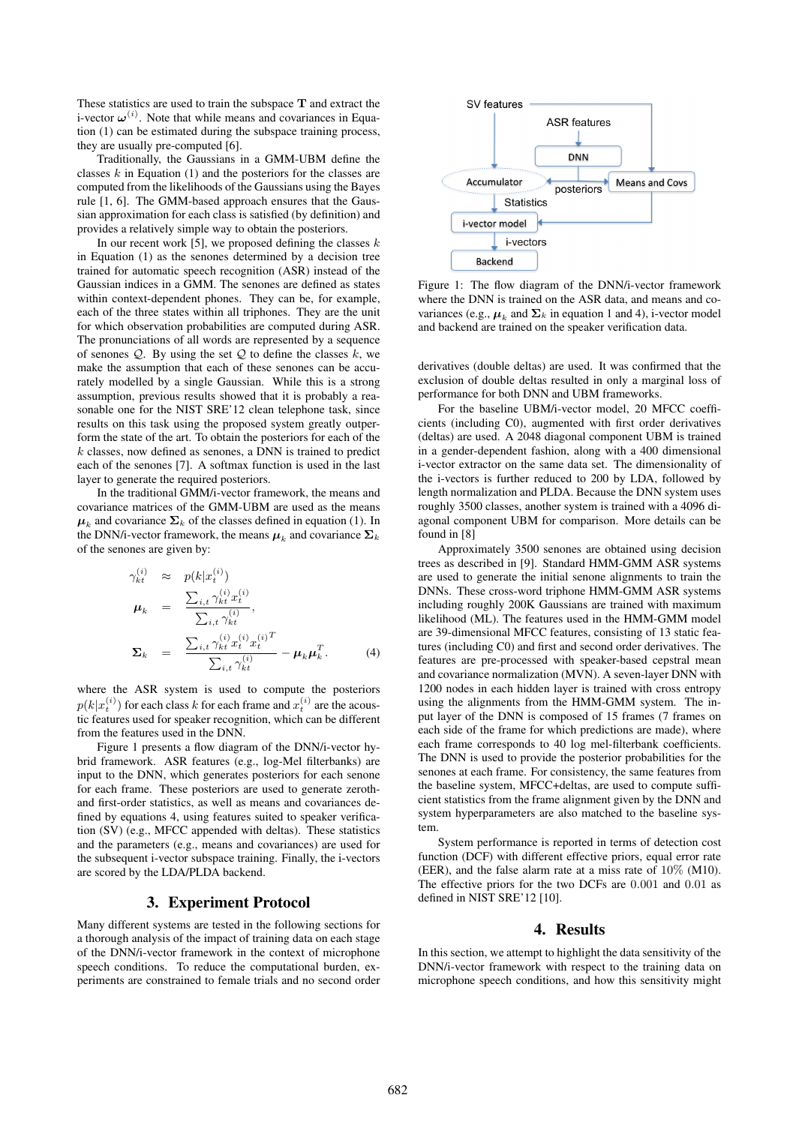These statistics are used to train the subspace **T** and extract the i-vector  $\boldsymbol{\omega}^{(i)}$ . Note that while means and covariances in Equation (1) can be estimated during the subspace training process, they are usually pre-computed [6].

Traditionally, the Gaussians in a GMM-UBM define the classes  $k$  in Equation (1) and the posteriors for the classes are computed from the likelihoods of the Gaussians using the Bayes rule [1, 6]. The GMM-based approach ensures that the Gaussian approximation for each class is satisfied (by definition) and provides a relatively simple way to obtain the posteriors.

In our recent work [5], we proposed defining the classes  $k$ in Equation (1) as the senones determined by a decision tree trained for automatic speech recognition (ASR) instead of the Gaussian indices in a GMM. The senones are defined as states within context-dependent phones. They can be, for example, each of the three states within all triphones. They are the unit for which observation probabilities are computed during ASR. The pronunciations of all words are represented by a sequence of senones  $Q$ . By using the set  $Q$  to define the classes  $k$ , we make the assumption that each of these senones can be accurately modelled by a single Gaussian. While this is a strong assumption, previous results showed that it is probably a reasonable one for the NIST SRE'12 clean telephone task, since results on this task using the proposed system greatly outperform the state of the art. To obtain the posteriors for each of the  $k$  classes, now defined as senones, a DNN is trained to predict each of the senones [7]. A softmax function is used in the last layer to generate the required posteriors.

In the traditional GMM/i-vector framework, the means and covariance matrices of the GMM-UBM are used as the means  $\mu_k$  and covariance  $\Sigma_k$  of the classes defined in equation (1). In the DNN/i-vector framework, the means  $\mu_k$  and covariance  $\Sigma_k$ of the senones are given by:

$$
\gamma_{kt}^{(i)} \approx p(k|x_t^{(i)})
$$
\n
$$
\mu_k = \frac{\sum_{i,t} \gamma_{kt}^{(i)} x_t^{(i)}}{\sum_{i,t} \gamma_{kt}^{(i)}},
$$
\n
$$
\Sigma_k = \frac{\sum_{i,t} \gamma_{kt}^{(i)} x_t^{(i)} x_t^{(i)T}}{\sum_{i,t} \gamma_{kt}^{(i)}} - \mu_k \mu_k^T.
$$
\n(4)

where the ASR system is used to compute the posteriors  $p(k|x_t^{(i)})$  for each class  $k$  for each frame and  $x_t^{(i)}$  are the acoustic features used for speaker recognition, which can be different from the features used in the DNN.

Figure 1 presents a flow diagram of the DNN/i-vector hybrid framework. ASR features (e.g., log-Mel filterbanks) are input to the DNN, which generates posteriors for each senone for each frame. These posteriors are used to generate zerothand first-order statistics, as well as means and covariances defined by equations 4, using features suited to speaker verification (SV) (e.g., MFCC appended with deltas). These statistics and the parameters (e.g., means and covariances) are used for the subsequent i-vector subspace training. Finally, the i-vectors are scored by the LDA/PLDA backend.

# 3. Experiment Protocol

Many different systems are tested in the following sections for a thorough analysis of the impact of training data on each stage of the DNN/i-vector framework in the context of microphone speech conditions. To reduce the computational burden, experiments are constrained to female trials and no second order



Figure 1: The flow diagram of the DNN/i-vector framework where the DNN is trained on the ASR data, and means and covariances (e.g.,  $\mu_k$  and  $\Sigma_k$  in equation 1 and 4), i-vector model and backend are trained on the speaker verification data.

derivatives (double deltas) are used. It was confirmed that the exclusion of double deltas resulted in only a marginal loss of performance for both DNN and UBM frameworks.

For the baseline UBM/i-vector model, 20 MFCC coefficients (including C0), augmented with first order derivatives (deltas) are used. A 2048 diagonal component UBM is trained in a gender-dependent fashion, along with a 400 dimensional i-vector extractor on the same data set. The dimensionality of the i-vectors is further reduced to 200 by LDA, followed by length normalization and PLDA. Because the DNN system uses roughly 3500 classes, another system is trained with a 4096 diagonal component UBM for comparison. More details can be found in [8]

Approximately 3500 senones are obtained using decision trees as described in [9]. Standard HMM-GMM ASR systems are used to generate the initial senone alignments to train the DNNs. These cross-word triphone HMM-GMM ASR systems including roughly 200K Gaussians are trained with maximum likelihood (ML). The features used in the HMM-GMM model are 39-dimensional MFCC features, consisting of 13 static features (including C0) and first and second order derivatives. The features are pre-processed with speaker-based cepstral mean and covariance normalization (MVN). A seven-layer DNN with 1200 nodes in each hidden layer is trained with cross entropy using the alignments from the HMM-GMM system. The input layer of the DNN is composed of 15 frames (7 frames on each side of the frame for which predictions are made), where each frame corresponds to 40 log mel-filterbank coefficients. The DNN is used to provide the posterior probabilities for the senones at each frame. For consistency, the same features from the baseline system, MFCC+deltas, are used to compute sufficient statistics from the frame alignment given by the DNN and system hyperparameters are also matched to the baseline system.

System performance is reported in terms of detection cost function (DCF) with different effective priors, equal error rate (EER), and the false alarm rate at a miss rate of 10% (M10). The effective priors for the two DCFs are 0.001 and 0.01 as defined in NIST SRE'12 [10].

#### 4. Results

In this section, we attempt to highlight the data sensitivity of the DNN/i-vector framework with respect to the training data on microphone speech conditions, and how this sensitivity might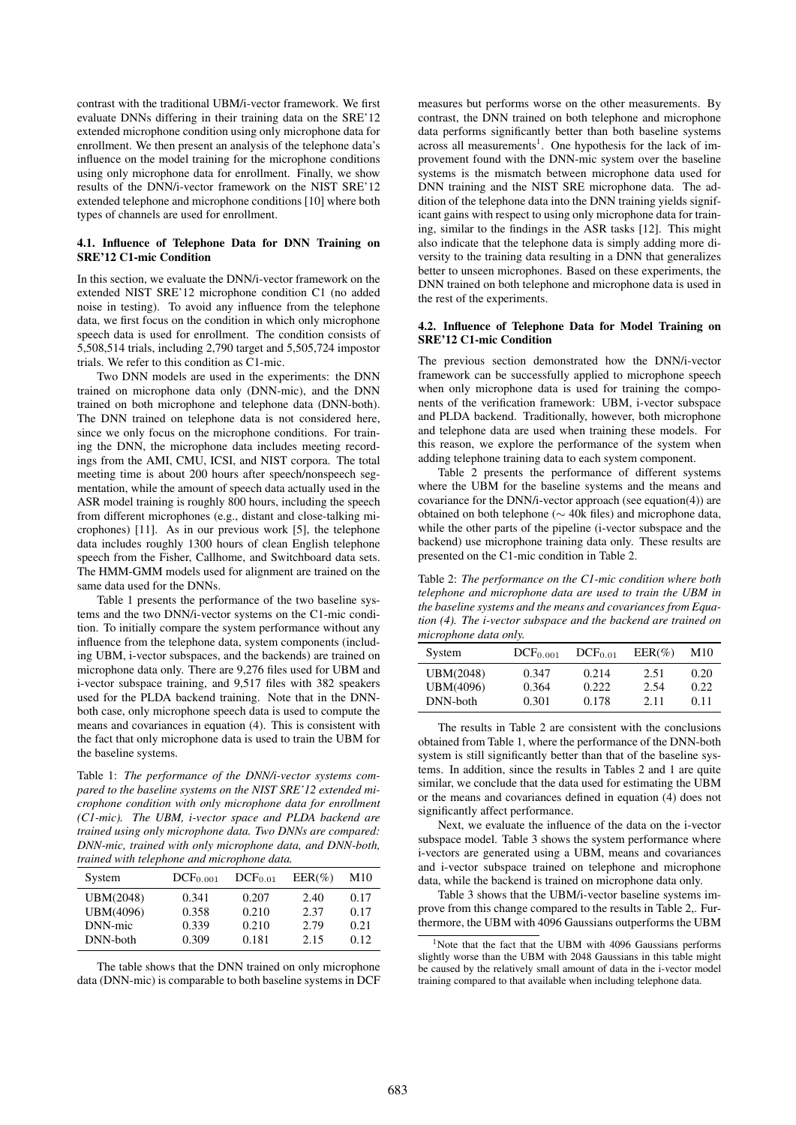contrast with the traditional UBM/i-vector framework. We first evaluate DNNs differing in their training data on the SRE'12 extended microphone condition using only microphone data for enrollment. We then present an analysis of the telephone data's influence on the model training for the microphone conditions using only microphone data for enrollment. Finally, we show results of the DNN/i-vector framework on the NIST SRE'12 extended telephone and microphone conditions [10] where both types of channels are used for enrollment.

#### 4.1. Influence of Telephone Data for DNN Training on SRE'12 C1-mic Condition

In this section, we evaluate the DNN/i-vector framework on the extended NIST SRE'12 microphone condition C1 (no added noise in testing). To avoid any influence from the telephone data, we first focus on the condition in which only microphone speech data is used for enrollment. The condition consists of 5,508,514 trials, including 2,790 target and 5,505,724 impostor trials. We refer to this condition as C1-mic.

Two DNN models are used in the experiments: the DNN trained on microphone data only (DNN-mic), and the DNN trained on both microphone and telephone data (DNN-both). The DNN trained on telephone data is not considered here, since we only focus on the microphone conditions. For training the DNN, the microphone data includes meeting recordings from the AMI, CMU, ICSI, and NIST corpora. The total meeting time is about 200 hours after speech/nonspeech segmentation, while the amount of speech data actually used in the ASR model training is roughly 800 hours, including the speech from different microphones (e.g., distant and close-talking microphones) [11]. As in our previous work [5], the telephone data includes roughly 1300 hours of clean English telephone speech from the Fisher, Callhome, and Switchboard data sets. The HMM-GMM models used for alignment are trained on the same data used for the DNNs.

Table 1 presents the performance of the two baseline systems and the two DNN/i-vector systems on the C1-mic condition. To initially compare the system performance without any influence from the telephone data, system components (including UBM, i-vector subspaces, and the backends) are trained on microphone data only. There are 9,276 files used for UBM and i-vector subspace training, and 9,517 files with 382 speakers used for the PLDA backend training. Note that in the DNNboth case, only microphone speech data is used to compute the means and covariances in equation (4). This is consistent with the fact that only microphone data is used to train the UBM for the baseline systems.

Table 1: *The performance of the DNN/i-vector systems compared to the baseline systems on the NIST SRE'12 extended microphone condition with only microphone data for enrollment (C1-mic). The UBM, i-vector space and PLDA backend are trained using only microphone data. Two DNNs are compared: DNN-mic, trained with only microphone data, and DNN-both, trained with telephone and microphone data.*

| System    | DCF <sub>0.001</sub> | $DCF_{0.01}$ | $EER(\%)$ | M10  |
|-----------|----------------------|--------------|-----------|------|
| UBM(2048) | 0.341                | 0.207        | 2.40      | 0.17 |
| UBM(4096) | 0.358                | 0.210        | 2.37      | 0.17 |
| DNN-mic   | 0.339                | 0.210        | 2.79      | 0.21 |
| DNN-both  | 0.309                | 0.181        | 2.15      | 0.12 |

The table shows that the DNN trained on only microphone data (DNN-mic) is comparable to both baseline systems in DCF

measures but performs worse on the other measurements. By contrast, the DNN trained on both telephone and microphone data performs significantly better than both baseline systems across all measurements<sup>1</sup>. One hypothesis for the lack of improvement found with the DNN-mic system over the baseline systems is the mismatch between microphone data used for DNN training and the NIST SRE microphone data. The addition of the telephone data into the DNN training yields significant gains with respect to using only microphone data for training, similar to the findings in the ASR tasks [12]. This might also indicate that the telephone data is simply adding more diversity to the training data resulting in a DNN that generalizes better to unseen microphones. Based on these experiments, the DNN trained on both telephone and microphone data is used in the rest of the experiments.

#### 4.2. Influence of Telephone Data for Model Training on SRE'12 C1-mic Condition

The previous section demonstrated how the DNN/i-vector framework can be successfully applied to microphone speech when only microphone data is used for training the components of the verification framework: UBM, i-vector subspace and PLDA backend. Traditionally, however, both microphone and telephone data are used when training these models. For this reason, we explore the performance of the system when adding telephone training data to each system component.

Table 2 presents the performance of different systems where the UBM for the baseline systems and the means and covariance for the DNN/i-vector approach (see equation(4)) are obtained on both telephone (∼ 40k files) and microphone data, while the other parts of the pipeline (i-vector subspace and the backend) use microphone training data only. These results are presented on the C1-mic condition in Table 2.

Table 2: *The performance on the C1-mic condition where both telephone and microphone data are used to train the UBM in the baseline systems and the means and covariances from Equation (4). The i-vector subspace and the backend are trained on microphone data only.*

| System    | DCF <sub>0.001</sub> | DCF <sub>0.01</sub> | $EER(\%)$ | M10  |
|-----------|----------------------|---------------------|-----------|------|
| UBM(2048) | 0.347                | 0.214               | 2.51      | 0.20 |
| UBM(4096) | 0.364                | 0.222               | 2.54      | 0.22 |
| DNN-both  | 0.301                | 0.178               | 2.11      | 0.11 |

The results in Table 2 are consistent with the conclusions obtained from Table 1, where the performance of the DNN-both system is still significantly better than that of the baseline systems. In addition, since the results in Tables 2 and 1 are quite similar, we conclude that the data used for estimating the UBM or the means and covariances defined in equation (4) does not significantly affect performance.

Next, we evaluate the influence of the data on the i-vector subspace model. Table 3 shows the system performance where i-vectors are generated using a UBM, means and covariances and i-vector subspace trained on telephone and microphone data, while the backend is trained on microphone data only.

Table 3 shows that the UBM/i-vector baseline systems improve from this change compared to the results in Table 2,. Furthermore, the UBM with 4096 Gaussians outperforms the UBM

<sup>&</sup>lt;sup>1</sup>Note that the fact that the UBM with 4096 Gaussians performs slightly worse than the UBM with 2048 Gaussians in this table might be caused by the relatively small amount of data in the i-vector model training compared to that available when including telephone data.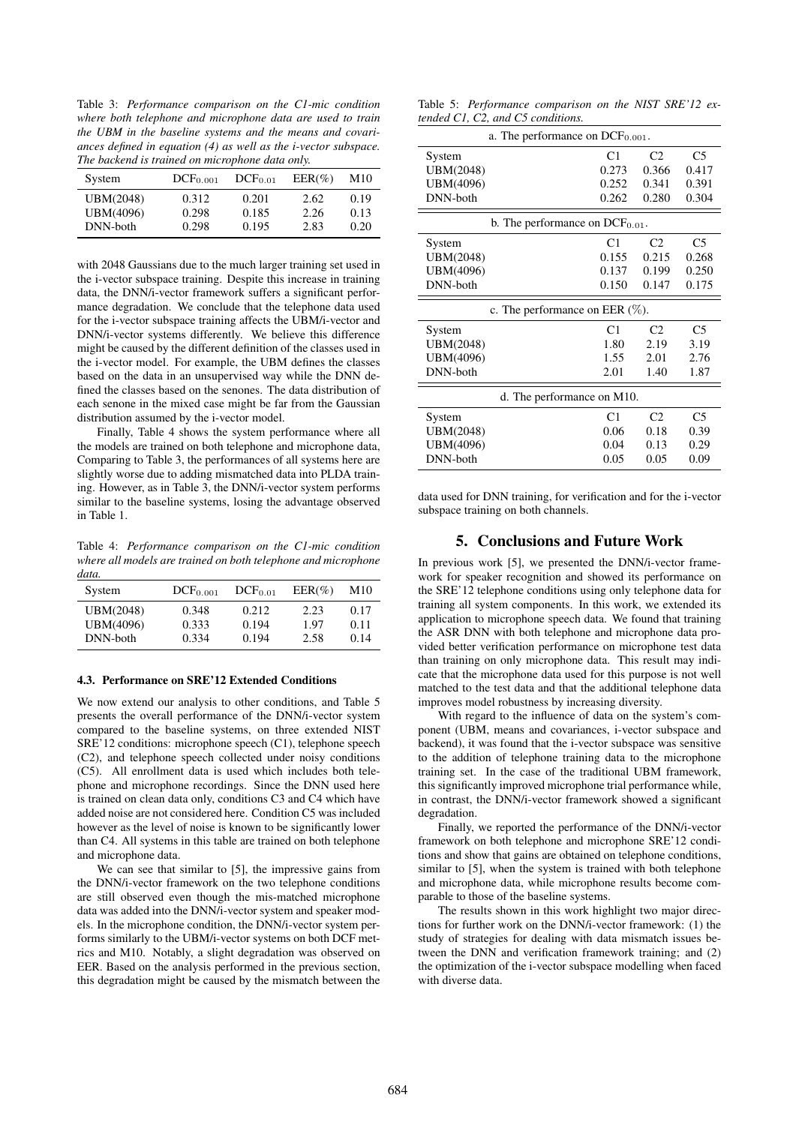Table 3: *Performance comparison on the C1-mic condition where both telephone and microphone data are used to train the UBM in the baseline systems and the means and covariances defined in equation (4) as well as the i-vector subspace. The backend is trained on microphone data only.*

| System    | DCF <sub>0.001</sub> | DCF <sub>0.01</sub> | $EER(\%)$ | M10  |
|-----------|----------------------|---------------------|-----------|------|
| UBM(2048) | 0.312                | 0.201               | 2.62      | 0.19 |
| UBM(4096) | 0.298                | 0.185               | 2.26      | 0.13 |
| DNN-both  | 0.298                | 0.195               | 2.83      | 0.20 |

with 2048 Gaussians due to the much larger training set used in the i-vector subspace training. Despite this increase in training data, the DNN/i-vector framework suffers a significant performance degradation. We conclude that the telephone data used for the i-vector subspace training affects the UBM/i-vector and DNN/i-vector systems differently. We believe this difference might be caused by the different definition of the classes used in the i-vector model. For example, the UBM defines the classes based on the data in an unsupervised way while the DNN defined the classes based on the senones. The data distribution of each senone in the mixed case might be far from the Gaussian distribution assumed by the i-vector model.

Finally, Table 4 shows the system performance where all the models are trained on both telephone and microphone data, Comparing to Table 3, the performances of all systems here are slightly worse due to adding mismatched data into PLDA training. However, as in Table 3, the DNN/i-vector system performs similar to the baseline systems, losing the advantage observed in Table 1.

Table 4: *Performance comparison on the C1-mic condition where all models are trained on both telephone and microphone data.*

| System    | DCF <sub>0.001</sub> | DCF <sub>0.01</sub> | $EER(\%)$ | M10  |
|-----------|----------------------|---------------------|-----------|------|
| UBM(2048) | 0.348                | 0.212               | 2.23      | 0.17 |
| UBM(4096) | 0.333                | 0.194               | 1.97      | 0.11 |
| DNN-both  | 0.334                | 0.194               | 2.58      | 0.14 |

#### 4.3. Performance on SRE'12 Extended Conditions

We now extend our analysis to other conditions, and Table 5 presents the overall performance of the DNN/i-vector system compared to the baseline systems, on three extended NIST SRE'12 conditions: microphone speech (C1), telephone speech (C2), and telephone speech collected under noisy conditions (C5). All enrollment data is used which includes both telephone and microphone recordings. Since the DNN used here is trained on clean data only, conditions C3 and C4 which have added noise are not considered here. Condition C5 was included however as the level of noise is known to be significantly lower than C4. All systems in this table are trained on both telephone and microphone data.

We can see that similar to [5], the impressive gains from the DNN/i-vector framework on the two telephone conditions are still observed even though the mis-matched microphone data was added into the DNN/i-vector system and speaker models. In the microphone condition, the DNN/i-vector system performs similarly to the UBM/i-vector systems on both DCF metrics and M10. Notably, a slight degradation was observed on EER. Based on the analysis performed in the previous section, this degradation might be caused by the mismatch between the

Table 5: *Performance comparison on the NIST SRE'12 extended C1, C2, and C5 conditions.*

| a. The performance on $DCF0.001$ .   |                |                |                |
|--------------------------------------|----------------|----------------|----------------|
| System                               | C <sub>1</sub> | C <sub>2</sub> | C <sub>5</sub> |
| UBM(2048)                            | 0.273          | 0.366          | 0.417          |
| UBM(4096)                            | 0.252          | 0.341          | 0.391          |
| DNN-both                             | 0.262          | 0.280          | 0.304          |
| b. The performance on $DCF_{0.01}$ . |                |                |                |
| System                               | C <sub>1</sub> | C <sub>2</sub> | C <sub>5</sub> |
| UBM(2048)                            | 0.155          | 0.215          | 0.268          |
| UBM(4096)                            | 0.137          | 0.199          | 0.250          |
| DNN-both                             | 0.150          | 0.147          | 0.175          |
| c. The performance on EER $(\%)$ .   |                |                |                |
|                                      |                |                |                |
| System                               | C <sub>1</sub> | C <sub>2</sub> | C5             |
| UBM(2048)                            | 1.80           | 2.19           | 3.19           |
| UBM(4096)                            | 1.55           | 2.01           | 2.76           |
| DNN-both                             | 2.01           | 1.40           | 1.87           |
| d. The performance on M10.           |                |                |                |
| System                               | C <sub>1</sub> | C <sub>2</sub> | C <sub>5</sub> |
| UBM(2048)                            | 0.06           | 0.18           | 0.39           |
| UBM(4096)                            | 0.04           | 0.13           | 0.29           |

data used for DNN training, for verification and for the i-vector subspace training on both channels.

#### 5. Conclusions and Future Work

In previous work [5], we presented the DNN/i-vector framework for speaker recognition and showed its performance on the SRE'12 telephone conditions using only telephone data for training all system components. In this work, we extended its application to microphone speech data. We found that training the ASR DNN with both telephone and microphone data provided better verification performance on microphone test data than training on only microphone data. This result may indicate that the microphone data used for this purpose is not well matched to the test data and that the additional telephone data improves model robustness by increasing diversity.

With regard to the influence of data on the system's component (UBM, means and covariances, i-vector subspace and backend), it was found that the i-vector subspace was sensitive to the addition of telephone training data to the microphone training set. In the case of the traditional UBM framework, this significantly improved microphone trial performance while, in contrast, the DNN/i-vector framework showed a significant degradation.

Finally, we reported the performance of the DNN/i-vector framework on both telephone and microphone SRE'12 conditions and show that gains are obtained on telephone conditions, similar to [5], when the system is trained with both telephone and microphone data, while microphone results become comparable to those of the baseline systems.

The results shown in this work highlight two major directions for further work on the DNN/i-vector framework: (1) the study of strategies for dealing with data mismatch issues between the DNN and verification framework training; and (2) the optimization of the i-vector subspace modelling when faced with diverse data.